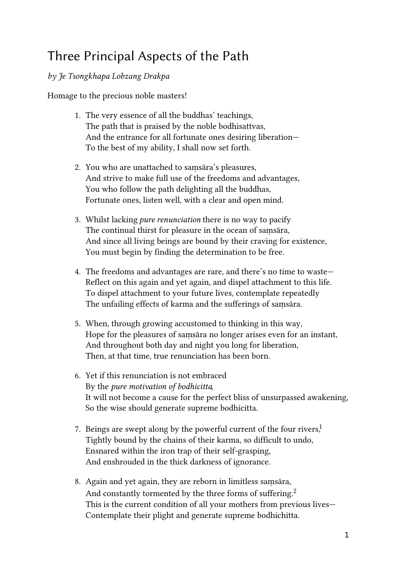## Three Principal Aspects of the Path

## by Je Tsongkhapa Lobzang Drakpa

Homage to the precious noble masters!

- 1. The very essence of all the buddhas' teachings, The path that is praised by the noble bodhisattvas, And the entrance for all fortunate ones desiring liberation— To the best of my ability, I shall now set forth.
- 2. You who are unattached to saṃsāra's pleasures, And strive to make full use of the freedoms and advantages, You who follow the path delighting all the buddhas, Fortunate ones, listen well, with a clear and open mind.
- 3. Whilst lacking pure renunciation there is no way to pacify The continual thirst for pleasure in the ocean of saṃsāra, And since all living beings are bound by their craving for existence, You must begin by finding the determination to be free.
- 4. The freedoms and advantages are rare, and there's no time to waste— Reflect on this again and yet again, and dispel attachment to this life. To dispel attachment to your future lives, contemplate repeatedly The unfailing effects of karma and the sufferings of saṃsāra.
- 5. When, through growing accustomed to thinking in this way, Hope for the pleasures of saṃsāra no longer arises even for an instant, And throughout both day and night you long for liberation, Then, at that time, true renunciation has been born.
- 6. Yet if this renunciation is not embraced By the pure motivation of bodhicitta, It will not become a cause for the perfect bliss of unsurpassed awakening, So the wise should generate supreme bodhicitta.
- 7. Beings are swept along by the powerful current of the four rivers,<sup>[1](#fn:1)</sup> Tightly bound by the chains of their karma, so difficult to undo, Ensnared within the iron trap of their self-grasping, And enshrouded in the thick darkness of ignorance.
- 8. Again and yet again, they are reborn in limitless saṃsāra, And constantly tormented by the three forms of suffering.<sup>[2](#fn:2)</sup> This is the current condition of all your mothers from previous lives— Contemplate their plight and generate supreme bodhichitta.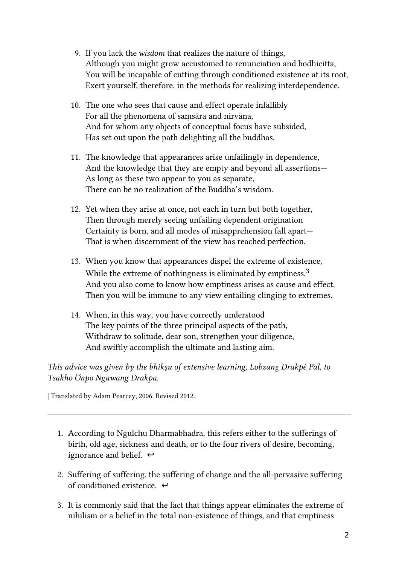- 9. If you lack the *wisdom* that realizes the nature of things, Although you might grow accustomed to renunciation and bodhicitta, You will be incapable of cutting through conditioned existence at its root, Exert yourself, therefore, in the methods for realizing interdependence.
- 10. The one who sees that cause and effect operate infallibly For all the phenomena of samsāra and nirvāna, And for whom any objects of conceptual focus have subsided, Has set out upon the path delighting all the buddhas.
- 11. The knowledge that appearances arise unfailingly in dependence, And the knowledge that they are empty and beyond all assertions— As long as these two appear to you as separate, There can be no realization of the Buddha's wisdom.
- 12. Yet when they arise at once, not each in turn but both together, Then through merely seeing unfailing dependent origination Certainty is born, and all modes of misapprehension fall apart— That is when discernment of the view has reached perfection.
- 13. When you know that appearances dispel the extreme of existence, While the extreme of nothingness is eliminated by emptiness,  $3$ And you also come to know how emptiness arises as cause and effect, Then you will be immune to any view entailing clinging to extremes.
- 14. When, in this way, you have correctly understood The key points of the three principal aspects of the path, Withdraw to solitude, dear son, strengthen your diligence, And swiftly accomplish the ultimate and lasting aim.

This advice was given by the bhikṣu of extensive learning, Lobzang Drakpé Pal, to Tsakho Önpo Ngawang Drakpa.

| Translated by Adam Pearcey, 2006. Revised 2012.

- 1. According to Ngulchu Dharmabhadra, this refers either to the sufferings of birth, old age, sickness and death, or to the four rivers of desire, becoming, ignorance and belief.  $\leftrightarrow$
- 2. Suffering of suffering, the suffering of change and the all-pervasive suffering of conditioned existence.  $\leftrightarrow$
- 3. It is commonly said that the fact that things appear eliminates the extreme of nihilism or a belief in the total non-existence of things, and that emptiness